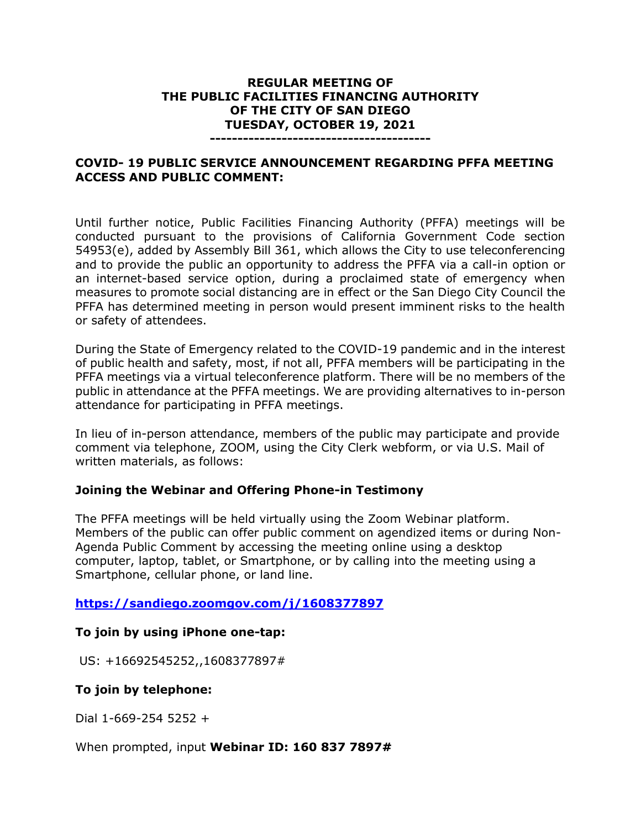### **REGULAR MEETING OF THE PUBLIC FACILITIES FINANCING AUTHORITY OF THE CITY OF SAN DIEGO TUESDAY, OCTOBER 19, 2021**

#### **----------------------------------------**

## **COVID- 19 PUBLIC SERVICE ANNOUNCEMENT REGARDING PFFA MEETING ACCESS AND PUBLIC COMMENT:**

Until further notice, Public Facilities Financing Authority (PFFA) meetings will be conducted pursuant to the provisions of California Government Code section 54953(e), added by Assembly Bill 361, which allows the City to use teleconferencing and to provide the public an opportunity to address the PFFA via a call-in option or an internet-based service option, during a proclaimed state of emergency when measures to promote social distancing are in effect or the San Diego City Council the PFFA has determined meeting in person would present imminent risks to the health or safety of attendees.

During the State of Emergency related to the COVID-19 pandemic and in the interest of public health and safety, most, if not all, PFFA members will be participating in the PFFA meetings via a virtual teleconference platform. There will be no members of the public in attendance at the PFFA meetings. We are providing alternatives to in-person attendance for participating in PFFA meetings.

In lieu of in-person attendance, members of the public may participate and provide comment via telephone, ZOOM, using the City Clerk webform, or via U.S. Mail of written materials, as follows:

#### **Joining the Webinar and Offering Phone-in Testimony**

The PFFA meetings will be held virtually using the Zoom Webinar platform. Members of the public can offer public comment on agendized items or during Non-Agenda Public Comment by accessing the meeting online using a desktop computer, laptop, tablet, or Smartphone, or by calling into the meeting using a Smartphone, cellular phone, or land line.

## **<https://sandiego.zoomgov.com/j/1608377897>**

## **To join by using iPhone one-tap:**

US: +16692545252,,1608377897#

## **To join by telephone:**

Dial 1-669-254 5252 +

When prompted, input **Webinar ID: 160 837 7897#**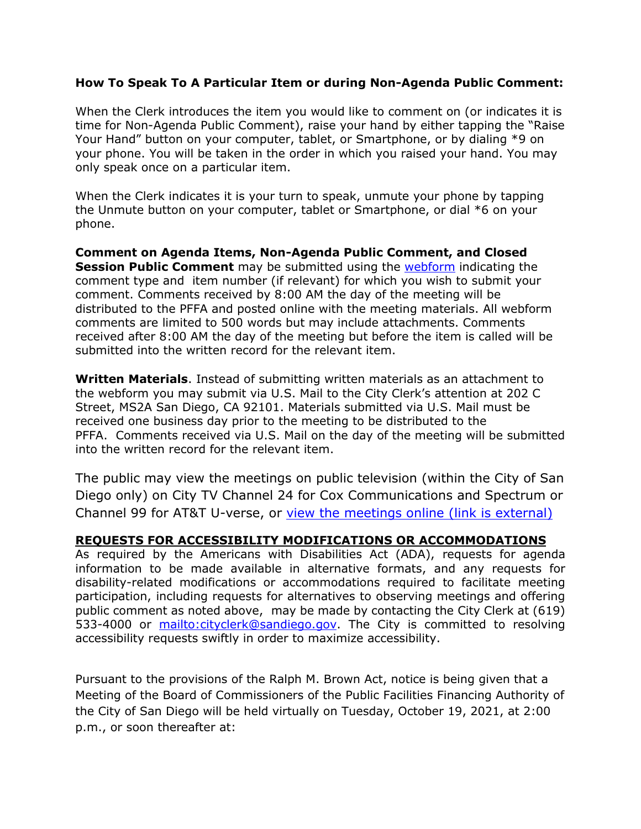### **How To Speak To A Particular Item or during Non-Agenda Public Comment:**

When the Clerk introduces the item you would like to comment on (or indicates it is time for Non-Agenda Public Comment), raise your hand by either tapping the "Raise Your Hand" button on your computer, tablet, or Smartphone, or by dialing \*9 on your phone. You will be taken in the order in which you raised your hand. You may only speak once on a particular item.

When the Clerk indicates it is your turn to speak, unmute your phone by tapping the Unmute button on your computer, tablet or Smartphone, or dial \*6 on your phone.

**Comment on Agenda Items, Non-Agenda Public Comment, and Closed Session Public Comment** may be submitted using the [webform](https://www.sandiego.gov/form/agenda-comment-form) indicating the comment type and item number (if relevant) for which you wish to submit your comment. Comments received by 8:00 AM the day of the meeting will be distributed to the PFFA and posted online with the meeting materials. All webform comments are limited to 500 words but may include attachments. Comments received after 8:00 AM the day of the meeting but before the item is called will be submitted into the written record for the relevant item.

**Written Materials**. Instead of submitting written materials as an attachment to the webform you may submit via U.S. Mail to the City Clerk's attention at 202 C Street, MS2A San Diego, CA 92101. Materials submitted via U.S. Mail must be received one business day prior to the meeting to be distributed to the PFFA. Comments received via U.S. Mail on the day of the meeting will be submitted into the written record for the relevant item.

The public may view the meetings on public television (within the City of San Diego only) on City TV Channel 24 for Cox Communications and Spectrum or Channel 99 for AT&T U-verse, or [view the meetings online \(link is external\)](http://sandiego.granicus.com/ViewPublisher.php?view_id=31) 

#### **REQUESTS FOR ACCESSIBILITY MODIFICATIONS OR ACCOMMODATIONS**

As required by the Americans with Disabilities Act (ADA), requests for agenda information to be made available in alternative formats, and any requests for disability-related modifications or accommodations required to facilitate meeting participation, including requests for alternatives to observing meetings and offering public comment as noted above, may be made by contacting the City Clerk at (619) 533-4000 or [mailto:cityclerk@sandiego.gov.](mailto:cityclerk@sandiego.gov) The City is committed to resolving accessibility requests swiftly in order to maximize accessibility.

Pursuant to the provisions of the Ralph M. Brown Act, notice is being given that a Meeting of the Board of Commissioners of the Public Facilities Financing Authority of the City of San Diego will be held virtually on Tuesday, October 19, 2021, at 2:00 p.m., or soon thereafter at: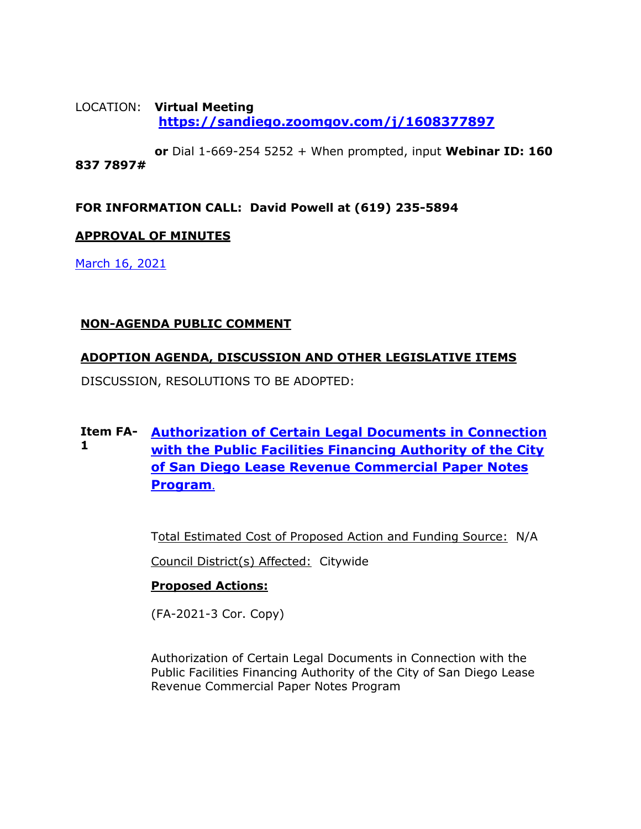## LOCATION: **Virtual Meeting <https://sandiego.zoomgov.com/j/1608377897>**

**or** Dial 1-669-254 5252 + When prompted, input **Webinar ID: 160 837 7897#**

**FOR INFORMATION CALL: David Powell at (619) 235-5894**

## **APPROVAL OF MINUTES**

[March 16, 2021](https://www.sandiego.gov/sites/default/files/0316pffa.pdf) 

## **NON-AGENDA PUBLIC COMMENT**

## **ADOPTION AGENDA, DISCUSSION AND OTHER LEGISLATIVE ITEMS**

DISCUSSION, RESOLUTIONS TO BE ADOPTED:

#### **Item FA-[Authorization of Certain Legal Documents in Connection](https://www.sandiego.gov/sites/default/files/all_files_comnbined_for_10-19_pffa.pdf)  1 [with the Public Facilities Financing Authority of the City](https://www.sandiego.gov/sites/default/files/all_files_comnbined_for_10-19_pffa.pdf)  [of San Diego Lease Revenue Commercial Paper Notes](https://www.sandiego.gov/sites/default/files/all_files_comnbined_for_10-19_pffa.pdf)  [Program](https://www.sandiego.gov/sites/default/files/all_files_comnbined_for_10-19_pffa.pdf)**.

Total Estimated Cost of Proposed Action and Funding Source: N/A

Council District(s) Affected: Citywide

## **Proposed Actions:**

(FA-2021-3 Cor. Copy)

Authorization of Certain Legal Documents in Connection with the Public Facilities Financing Authority of the City of San Diego Lease Revenue Commercial Paper Notes Program